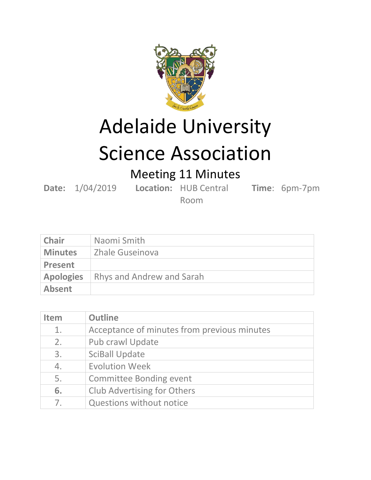

Adelaide University

## Science Association

Meeting 11 Minutes

**Date:** 1/04/2019 **Location:** HUB Central

**Time**: 6pm-7pm

Room

| <b>Chair</b>     | Naomi Smith               |
|------------------|---------------------------|
| <b>Minutes</b>   | Zhale Guseinova           |
| <b>Present</b>   |                           |
| <b>Apologies</b> | Rhys and Andrew and Sarah |
| Absent           |                           |

| <b>Item</b>    | <b>Outline</b>                              |
|----------------|---------------------------------------------|
| 1.             | Acceptance of minutes from previous minutes |
| 2.             | <b>Pub crawl Update</b>                     |
| 3.             | <b>SciBall Update</b>                       |
| 4.             | <b>Evolution Week</b>                       |
| 5.             | <b>Committee Bonding event</b>              |
| 6.             | <b>Club Advertising for Others</b>          |
| 7 <sub>1</sub> | <b>Questions without notice</b>             |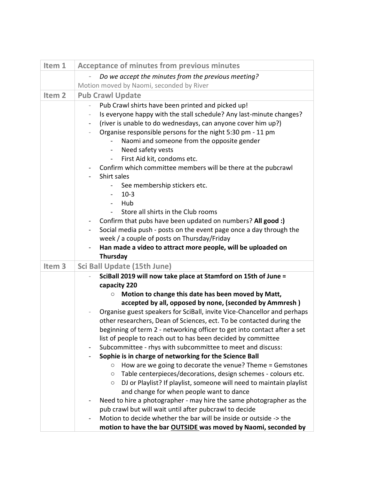| Item 1            | <b>Acceptance of minutes from previous minutes</b>                                                                                               |
|-------------------|--------------------------------------------------------------------------------------------------------------------------------------------------|
|                   | Do we accept the minutes from the previous meeting?                                                                                              |
|                   | Motion moved by Naomi, seconded by River                                                                                                         |
| Item <sub>2</sub> | <b>Pub Crawl Update</b>                                                                                                                          |
|                   | Pub Crawl shirts have been printed and picked up!<br>$\overline{\phantom{0}}$                                                                    |
|                   | Is everyone happy with the stall schedule? Any last-minute changes?<br>$\qquad \qquad -$                                                         |
|                   | (river is unable to do wednesdays, can anyone cover him up?)<br>$\overline{\phantom{0}}$                                                         |
|                   | Organise responsible persons for the night 5:30 pm - 11 pm                                                                                       |
|                   | Naomi and someone from the opposite gender<br>$\blacksquare$                                                                                     |
|                   | Need safety vests<br>$\blacksquare$                                                                                                              |
|                   | First Aid kit, condoms etc.<br>$\blacksquare$                                                                                                    |
|                   | Confirm which committee members will be there at the pubcrawl                                                                                    |
|                   | Shirt sales                                                                                                                                      |
|                   | See membership stickers etc.                                                                                                                     |
|                   | $10-3$<br>$\overline{\phantom{0}}$                                                                                                               |
|                   | Hub<br>$\sim$                                                                                                                                    |
|                   | Store all shirts in the Club rooms                                                                                                               |
|                   | Confirm that pubs have been updated on numbers? All good :)<br>$\blacksquare$                                                                    |
|                   | Social media push - posts on the event page once a day through the                                                                               |
|                   | week / a couple of posts on Thursday/Friday                                                                                                      |
|                   | Han made a video to attract more people, will be uploaded on                                                                                     |
|                   | Thursday                                                                                                                                         |
| Item <sub>3</sub> | Sci Ball Update (15th June)                                                                                                                      |
|                   | SciBall 2019 will now take place at Stamford on 15th of June =                                                                                   |
|                   | capacity 220                                                                                                                                     |
|                   | Motion to change this date has been moved by Matt,<br>$\circ$                                                                                    |
|                   | accepted by all, opposed by none, (seconded by Ammresh)                                                                                          |
|                   | Organise guest speakers for SciBall, invite Vice-Chancellor and perhaps                                                                          |
|                   | other researchers, Dean of Sciences, ect. To be contacted during the<br>beginning of term 2 - networking officer to get into contact after a set |
|                   | list of people to reach out to has been decided by committee                                                                                     |
|                   | Subcommittee - rhys with subcommittee to meet and discuss:                                                                                       |
|                   | Sophie is in charge of networking for the Science Ball                                                                                           |
|                   | How are we going to decorate the venue? Theme = Gemstones<br>$\circ$                                                                             |
|                   | Table centerpieces/decorations, design schemes - colours etc.<br>$\circ$                                                                         |
|                   | DJ or Playlist? If playlist, someone will need to maintain playlist<br>O                                                                         |
|                   | and change for when people want to dance                                                                                                         |
|                   | Need to hire a photographer - may hire the same photographer as the                                                                              |
|                   | pub crawl but will wait until after pubcrawl to decide                                                                                           |
|                   | Motion to decide whether the bar will be inside or outside -> the                                                                                |
|                   | motion to have the bar OUTSIDE was moved by Naomi, seconded by                                                                                   |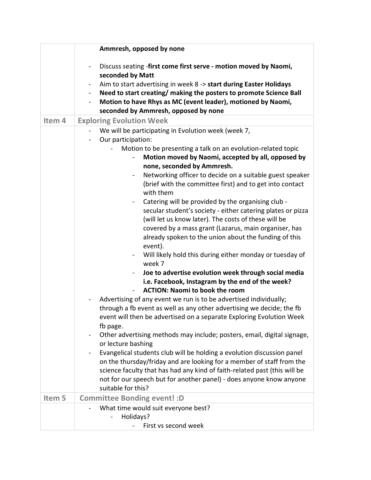|        | Ammresh, opposed by none                                                                                                                                                                                                                                                                                                                                                                                                                                                                                                                                                                                                                                                                                                                                                                                                                                                                                                                                                                                                                                                                                                                                                                                                                                                                                                                                                                                                                                                                                                                                                                                                                                  |
|--------|-----------------------------------------------------------------------------------------------------------------------------------------------------------------------------------------------------------------------------------------------------------------------------------------------------------------------------------------------------------------------------------------------------------------------------------------------------------------------------------------------------------------------------------------------------------------------------------------------------------------------------------------------------------------------------------------------------------------------------------------------------------------------------------------------------------------------------------------------------------------------------------------------------------------------------------------------------------------------------------------------------------------------------------------------------------------------------------------------------------------------------------------------------------------------------------------------------------------------------------------------------------------------------------------------------------------------------------------------------------------------------------------------------------------------------------------------------------------------------------------------------------------------------------------------------------------------------------------------------------------------------------------------------------|
|        | Discuss seating -first come first serve - motion moved by Naomi,<br>$\qquad \qquad \blacksquare$<br>seconded by Matt<br>Aim to start advertising in week 8 -> start during Easter Holidays<br>$\blacksquare$<br>Need to start creating/ making the posters to promote Science Ball<br>$\blacksquare$<br>Motion to have Rhys as MC (event leader), motioned by Naomi,<br>$\blacksquare$<br>seconded by Ammresh, opposed by none                                                                                                                                                                                                                                                                                                                                                                                                                                                                                                                                                                                                                                                                                                                                                                                                                                                                                                                                                                                                                                                                                                                                                                                                                            |
| Item 4 | <b>Exploring Evolution Week</b>                                                                                                                                                                                                                                                                                                                                                                                                                                                                                                                                                                                                                                                                                                                                                                                                                                                                                                                                                                                                                                                                                                                                                                                                                                                                                                                                                                                                                                                                                                                                                                                                                           |
|        | We will be participating in Evolution week (week 7,<br>Our participation:<br>$\blacksquare$<br>Motion to be presenting a talk on an evolution-related topic<br>Motion moved by Naomi, accepted by all, opposed by<br>none, seconded by Ammresh.<br>Networking officer to decide on a suitable guest speaker<br>$\blacksquare$<br>(brief with the committee first) and to get into contact<br>with them<br>Catering will be provided by the organising club -<br>secular student's society - either catering plates or pizza<br>(will let us know later). The costs of these will be<br>covered by a mass grant (Lazarus, main organiser, has<br>already spoken to the union about the funding of this<br>event).<br>Will likely hold this during either monday or tuesday of<br>$\blacksquare$<br>week 7<br>Joe to advertise evolution week through social media<br>$\overline{\phantom{0}}$<br>i.e. Facebook, Instagram by the end of the week?<br><b>ACTION: Naomi to book the room</b><br>Advertising of any event we run is to be advertised individually;<br>through a fb event as well as any other advertising we decide; the fb<br>event will then be advertised on a separate Exploring Evolution Week<br>fb page.<br>Other advertising methods may include; posters, email, digital signage,<br>or lecture bashing<br>Evangelical students club will be holding a evolution discussion panel<br>on the thursday/friday and are looking for a member of staff from the<br>science faculty that has had any kind of faith-related past (this will be<br>not for our speech but for another panel) - does anyone know anyone<br>suitable for this? |
| Item 5 | <b>Committee Bonding event!: D</b>                                                                                                                                                                                                                                                                                                                                                                                                                                                                                                                                                                                                                                                                                                                                                                                                                                                                                                                                                                                                                                                                                                                                                                                                                                                                                                                                                                                                                                                                                                                                                                                                                        |
|        | What time would suit everyone best?<br>Holidays?<br>First vs second week                                                                                                                                                                                                                                                                                                                                                                                                                                                                                                                                                                                                                                                                                                                                                                                                                                                                                                                                                                                                                                                                                                                                                                                                                                                                                                                                                                                                                                                                                                                                                                                  |